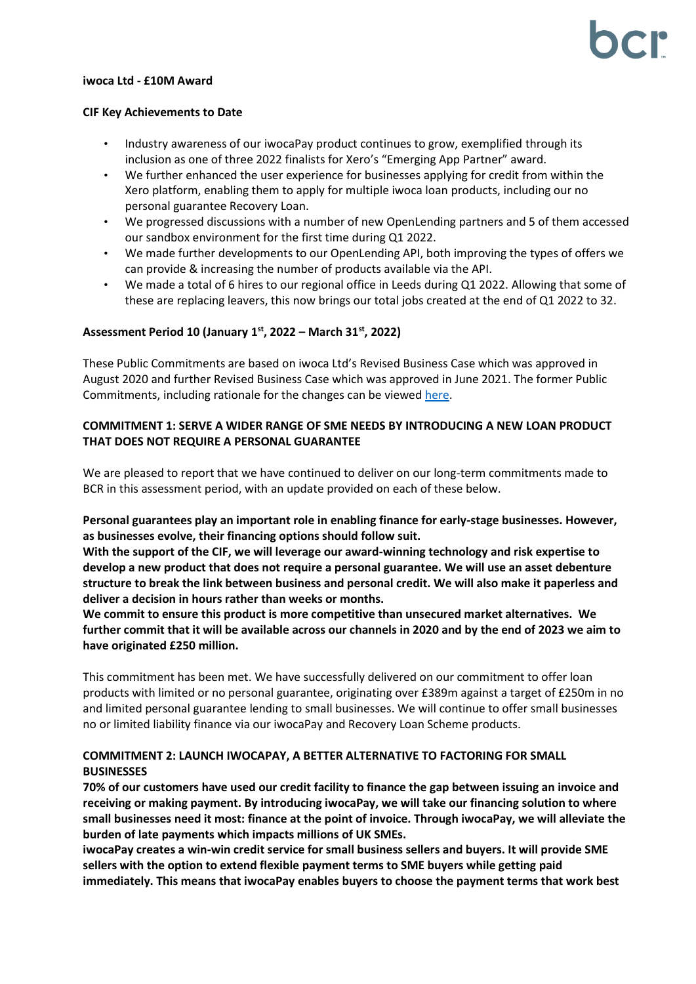#### **iwoca Ltd - £10M Award**

#### **CIF Key Achievements to Date**

- Industry awareness of our iwocaPay product continues to grow, exemplified through its inclusion as one of three 2022 finalists for Xero's "Emerging App Partner" award.
- We further enhanced the user experience for businesses applying for credit from within the Xero platform, enabling them to apply for multiple iwoca loan products, including our no personal guarantee Recovery Loan.
- We progressed discussions with a number of new OpenLending partners and 5 of them accessed our sandbox environment for the first time during Q1 2022.
- We made further developments to our OpenLending API, both improving the types of offers we can provide & increasing the number of products available via the API.
- We made a total of 6 hires to our regional office in Leeds during Q1 2022. Allowing that some of these are replacing leavers, this now brings our total jobs created at the end of Q1 2022 to 32.

### **Assessment Period 10 (January 1 st, 2022 – March 31 st , 2022)**

These Public Commitments are based on iwoca Ltd's Revised Business Case which was approved in August 2020 and further Revised Business Case which was approved in June 2021. The former Public Commitments, including rationale for the changes can be viewe[d here.](https://bcr-ltd.com/wp-content/uploads/2020/11/iwoca-Ltd_Public-Commitments-Q320-v1.0.pdf)

### **COMMITMENT 1: SERVE A WIDER RANGE OF SME NEEDS BY INTRODUCING A NEW LOAN PRODUCT THAT DOES NOT REQUIRE A PERSONAL GUARANTEE**

We are pleased to report that we have continued to deliver on our long-term commitments made to BCR in this assessment period, with an update provided on each of these below.

**Personal guarantees play an important role in enabling finance for early-stage businesses. However, as businesses evolve, their financing options should follow suit.**

**With the support of the CIF, we will leverage our award-winning technology and risk expertise to develop a new product that does not require a personal guarantee. We will use an asset debenture structure to break the link between business and personal credit. We will also make it paperless and deliver a decision in hours rather than weeks or months.**

**We commit to ensure this product is more competitive than unsecured market alternatives. We further commit that it will be available across our channels in 2020 and by the end of 2023 we aim to have originated £250 million.**

This commitment has been met. We have successfully delivered on our commitment to offer loan products with limited or no personal guarantee, originating over £389m against a target of £250m in no and limited personal guarantee lending to small businesses. We will continue to offer small businesses no or limited liability finance via our iwocaPay and Recovery Loan Scheme products.

### **COMMITMENT 2: LAUNCH IWOCAPAY, A BETTER ALTERNATIVE TO FACTORING FOR SMALL BUSINESSES**

**70% of our customers have used our credit facility to finance the gap between issuing an invoice and receiving or making payment. By introducing iwocaPay, we will take our financing solution to where small businesses need it most: finance at the point of invoice. Through iwocaPay, we will alleviate the burden of late payments which impacts millions of UK SMEs.**

**iwocaPay creates a win-win credit service for small business sellers and buyers. It will provide SME sellers with the option to extend flexible payment terms to SME buyers while getting paid immediately. This means that iwocaPay enables buyers to choose the payment terms that work best**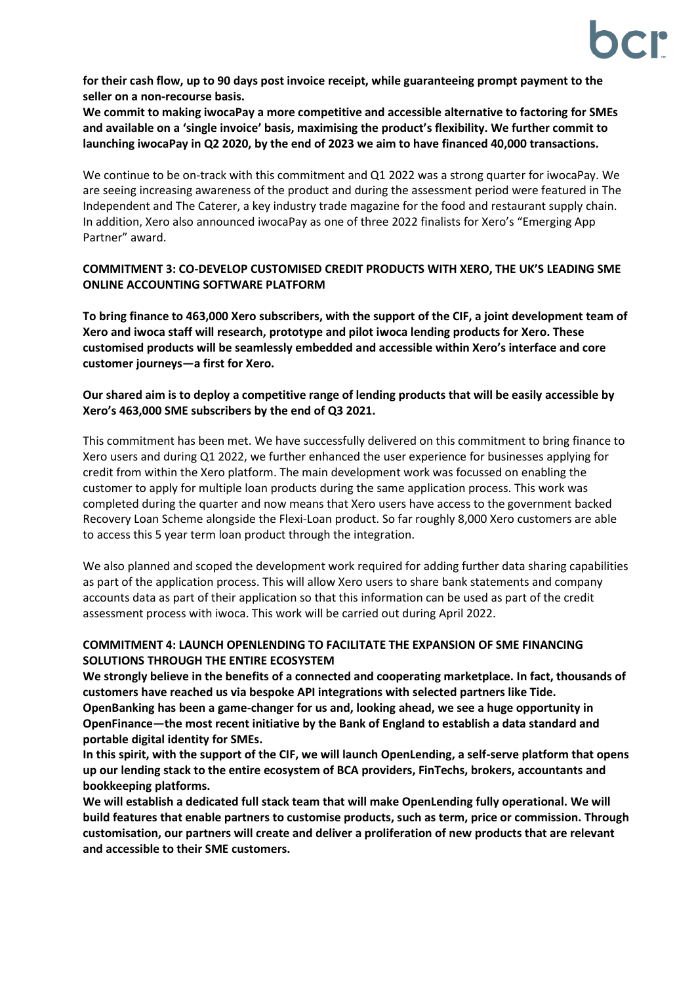**for their cash flow, up to 90 days post invoice receipt, while guaranteeing prompt payment to the seller on a non-recourse basis.**

**We commit to making iwocaPay a more competitive and accessible alternative to factoring for SMEs and available on a 'single invoice' basis, maximising the product's flexibility. We further commit to launching iwocaPay in Q2 2020, by the end of 2023 we aim to have financed 40,000 transactions.**

We continue to be on-track with this commitment and Q1 2022 was a strong quarter for iwocaPay. We are seeing increasing awareness of the product and during the assessment period were featured in The Independent and The Caterer, a key industry trade magazine for the food and restaurant supply chain. In addition, Xero also announced iwocaPay as one of three 2022 finalists for Xero's "Emerging App Partner" award.

## **COMMITMENT 3: CO-DEVELOP CUSTOMISED CREDIT PRODUCTS WITH XERO, THE UK'S LEADING SME ONLINE ACCOUNTING SOFTWARE PLATFORM**

**To bring finance to 463,000 Xero subscribers, with the support of the CIF, a joint development team of Xero and iwoca staff will research, prototype and pilot iwoca lending products for Xero. These customised products will be seamlessly embedded and accessible within Xero's interface and core customer journeys—a first for Xero.**

## **Our shared aim is to deploy a competitive range of lending products that will be easily accessible by Xero's 463,000 SME subscribers by the end of Q3 2021.**

This commitment has been met. We have successfully delivered on this commitment to bring finance to Xero users and during Q1 2022, we further enhanced the user experience for businesses applying for credit from within the Xero platform. The main development work was focussed on enabling the customer to apply for multiple loan products during the same application process. This work was completed during the quarter and now means that Xero users have access to the government backed Recovery Loan Scheme alongside the Flexi-Loan product. So far roughly 8,000 Xero customers are able to access this 5 year term loan product through the integration.

We also planned and scoped the development work required for adding further data sharing capabilities as part of the application process. This will allow Xero users to share bank statements and company accounts data as part of their application so that this information can be used as part of the credit assessment process with iwoca. This work will be carried out during April 2022.

# **COMMITMENT 4: LAUNCH OPENLENDING TO FACILITATE THE EXPANSION OF SME FINANCING SOLUTIONS THROUGH THE ENTIRE ECOSYSTEM**

**We strongly believe in the benefits of a connected and cooperating marketplace. In fact, thousands of customers have reached us via bespoke API integrations with selected partners like Tide. OpenBanking has been a game-changer for us and, looking ahead, we see a huge opportunity in OpenFinance—the most recent initiative by the Bank of England to establish a data standard and portable digital identity for SMEs.**

**In this spirit, with the support of the CIF, we will launch OpenLending, a self-serve platform that opens up our lending stack to the entire ecosystem of BCA providers, FinTechs, brokers, accountants and bookkeeping platforms.**

**We will establish a dedicated full stack team that will make OpenLending fully operational. We will build features that enable partners to customise products, such as term, price or commission. Through customisation, our partners will create and deliver a proliferation of new products that are relevant and accessible to their SME customers.**